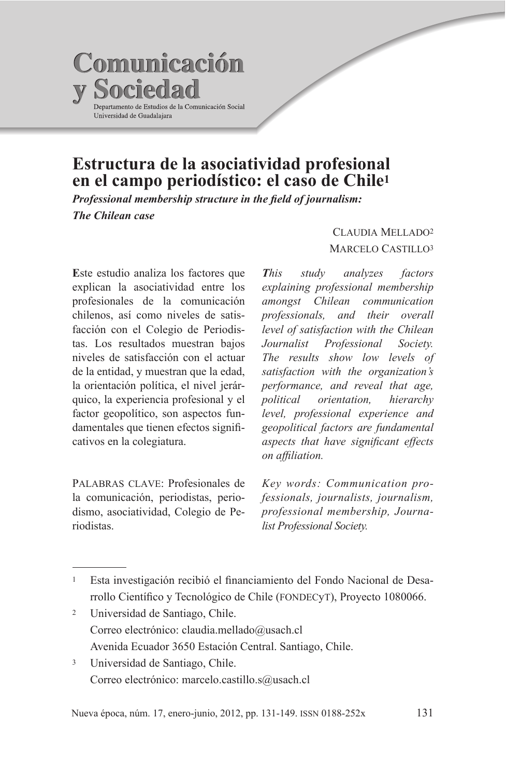

# Estructura de la asociatividad profesional en el campo periodístico: el caso de Chile<sup>1</sup>

Professional membership structure in the field of journalism: The Chilean case

Este estudio analiza los factores que explican la asociatividad entre los profesionales de la comunicación chilenos, así como niveles de satisfacción con el Colegio de Periodistas. Los resultados muestran bajos niveles de satisfacción con el actuar de la entidad, y muestran que la edad, la orientación política, el nivel jerárquico, la experiencia profesional y el factor geopolítico, son aspectos fundamentales que tienen efectos significativos en la colegiatura.

PALABRAS CLAVE: Profesionales de la comunicación, periodistas, periodismo, asociatividad, Colegio de Periodistas

### **CLAUDIA MELLADO2 MARCELO CASTILLO3**

This study analyzes factors explaining professional membership amongst Chilean communication and their overall professionals, level of satisfaction with the Chilean Journalist Professional Society. The results show low levels of satisfaction with the organization's performance, and reveal that age. political orientation. hierarchy level, professional experience and geopolitical factors are fundamental aspects that have significant effects on affiliation.

Key words: Communication professionals, journalists, journalism, professional membership, Journalist Professional Society.

- Universidad de Santiago, Chile.  $\overline{2}$ Correo electrónico: claudia.mellado@usach.cl Avenida Ecuador 3650 Estación Central, Santiago, Chile.
- $\overline{3}$ Universidad de Santiago, Chile. Correo electrónico: marcelo.castillo.s@usach.cl

Esta investigación recibió el financiamiento del Fondo Nacional de Desarrollo Científico y Tecnológico de Chile (FONDECYT), Proyecto 1080066.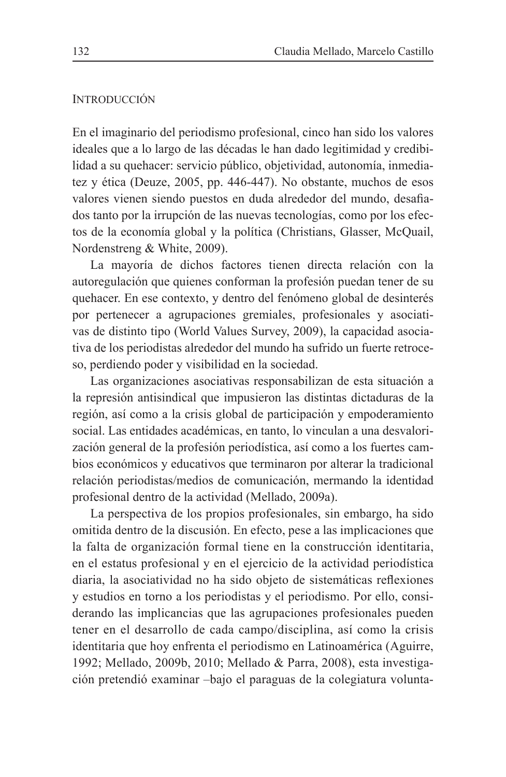#### **INTRODUCCIÓN**

En el imaginario del periodismo profesional, cinco han sido los valores ideales que a lo largo de las décadas le han dado legitimidad y credibilidad a su quehacer: servicio público, objetividad, autonomía, inmediatez y ética (Deuze, 2005, pp. 446-447). No obstante, muchos de esos valores vienen siendo puestos en duda alrededor del mundo, desafiados tanto por la irrupción de las nuevas tecnologías, como por los efectos de la economía global y la política (Christians, Glasser, McQuail, Nordenstreng & White, 2009).

La mayoría de dichos factores tienen directa relación con la autoregulación que quienes conforman la profesión puedan tener de su que hacer. En ese contexto, y dentro del fenómeno global de desinterés por pertenecer a agrupaciones gremiales, profesionales y asociativas de distinto tipo (World Values Survey, 2009), la capacidad asociativa de los periodistas alrededor del mundo ha sufrido un fuerte retroceso, perdiendo poder y visibilidad en la sociedad.

Las organizaciones asociativas responsabilizan de esta situación a la represión antisindical que impusieron las distintas dictaduras de la región, así como a la crisis global de participación y empoderamiento social. Las entidades académicas, en tanto, lo vinculan a una desvalorización general de la profesión periodística, así como a los fuertes cambios económicos y educativos que terminaron por alterar la tradicional relación periodistas/medios de comunicación, mermando la identidad profesional dentro de la actividad (Mellado, 2009a).

La perspectiva de los propios profesionales, sin embargo, ha sido omitida dentro de la discusión. En efecto, pese a las implicaciones que la falta de organización formal tiene en la construcción identitaria, en el estatus profesional y en el ejercicio de la actividad periodística diaria, la asociatividad no ha sido objeto de sistemáticas reflexiones y estudios en torno a los periodistas y el periodismo. Por ello, considerando las implicancias que las agrupaciones profesionales pueden tener en el desarrollo de cada campo/disciplina, así como la crisis identitaria que hoy enfrenta el periodismo en Latinoamérica (Aguirre, 1992; Mellado, 2009b, 2010; Mellado & Parra, 2008), esta investigación pretendió examinar -bajo el paraguas de la colegiatura volunta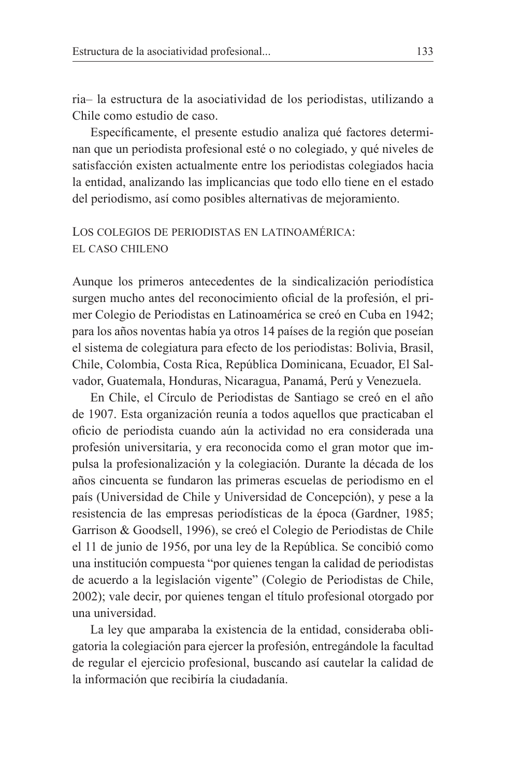ria-la estructura de la asociatividad de los periodistas, utilizando a Chile como estudio de caso.

Específicamente, el presente estudio analiza qué factores determinan que un periodista profesional esté o no colegiado, y qué niveles de satisfacción existen actualmente entre los periodistas colegiados hacia la entidad, analizando las implicancias que todo ello tiene en el estado del periodismo, así como posibles alternativas de mejoramiento.

## LOS COLEGIOS DE PERIODISTAS EN LATINOAMÉRICA: EL CASO CHILENO

Aunque los primeros antecedentes de la sindicalización periodística surgen mucho antes del reconocimiento oficial de la profesión, el primer Colegio de Periodistas en Latinoamérica se creó en Cuba en 1942; para los años noventas había ya otros 14 países de la región que poseían el sistema de colegiatura para efecto de los periodistas: Bolivia, Brasil, Chile, Colombia, Costa Rica, República Dominicana, Ecuador, El Salvador, Guatemala, Honduras, Nicaragua, Panamá, Perú y Venezuela.

En Chile, el Círculo de Periodistas de Santiago se creó en el año de 1907. Esta organización reunía a todos aquellos que practicaban el oficio de periodista cuando aún la actividad no era considerada una profesión universitaria, y era reconocida como el gran motor que impulsa la profesionalización y la colegiación. Durante la década de los años cincuenta se fundaron las primeras escuelas de periodismo en el país (Universidad de Chile y Universidad de Concepción), y pese a la resistencia de las empresas periodísticas de la época (Gardner, 1985; Garrison & Goodsell, 1996), se creó el Colegio de Periodistas de Chile el 11 de junio de 1956, por una ley de la República. Se concibió como una institución compuesta "por quienes tengan la calidad de periodistas de acuerdo a la legislación vigente" (Colegio de Periodistas de Chile, 2002); vale decir, por quienes tengan el título profesional otorgado por una universidad.

La ley que amparaba la existencia de la entidad, consideraba obligatoria la colegiación para ejercer la profesión, entregándole la facultad de regular el ejercicio profesional, buscando así cautelar la calidad de la información que recibiría la ciudadanía.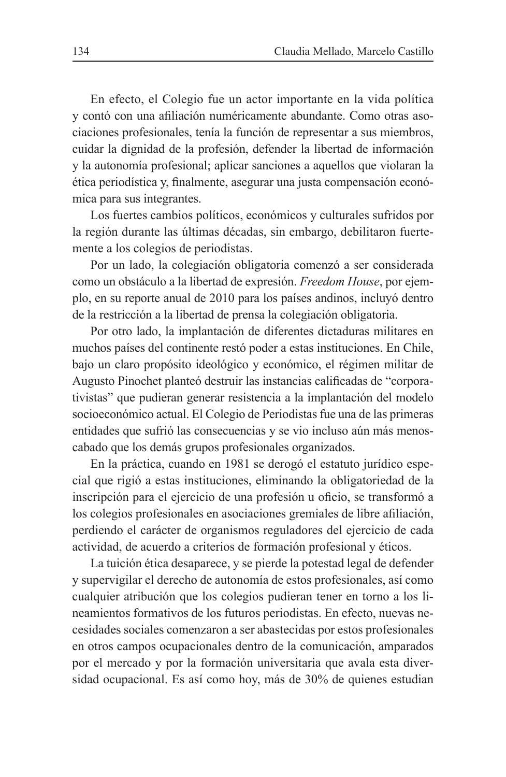En efecto, el Colegio fue un actor importante en la vida política y contó con una afiliación numéricamente abundante. Como otras asociaciones profesionales, tenía la función de representar a sus miembros, cuidar la dignidad de la profesión, defender la libertad de información y la autonomía profesional; aplicar sanciones a aquellos que violaran la ética periodística y, finalmente, asegurar una justa compensación económica para sus integrantes.

Los fuertes cambios políticos, económicos y culturales sufridos por la región durante las últimas décadas, sin embargo, debilitaron fuertemente a los colegios de periodistas.

Por un lado, la colegiación obligatoria comenzó a ser considerada como un obstáculo a la libertad de expresión. Freedom House, por ejemplo, en su reporte anual de 2010 para los países andinos, incluyó dentro de la restricción a la libertad de prensa la colegiación obligatoria.

Por otro lado, la implantación de diferentes dictaduras militares en muchos países del continente restó poder a estas instituciones. En Chile, bajo un claro propósito ideológico y económico, el régimen militar de Augusto Pinochet planteó destruir las instancias calificadas de "corporativistas" que pudieran generar resistencia a la implantación del modelo socioeconómico actual. El Colegio de Periodistas fue una de las primeras entidades que sufrió las consecuencias y se vio incluso aún más menoscabado que los demás grupos profesionales organizados.

En la práctica, cuando en 1981 se derogó el estatuto jurídico especial que rigió a estas instituciones, eliminando la obligatoriedad de la inscripción para el ejercicio de una profesión u oficio, se transformó a los colegios profesionales en asociaciones gremiales de libre afiliación, perdiendo el carácter de organismos reguladores del ejercicio de cada actividad, de acuerdo a criterios de formación profesional y éticos.

La tuición ética desaparece, y se pierde la potestad legal de defender y supervigilar el derecho de autonomía de estos profesionales, así como cualquier atribución que los colegios pudieran tener en torno a los lineamientos formativos de los futuros periodistas. En efecto, nuevas necesidades sociales comenzaron a ser abastecidas por estos profesionales en otros campos ocupacionales dentro de la comunicación, amparados por el mercado y por la formación universitaria que avala esta diversidad ocupacional. Es así como hoy, más de 30% de quienes estudian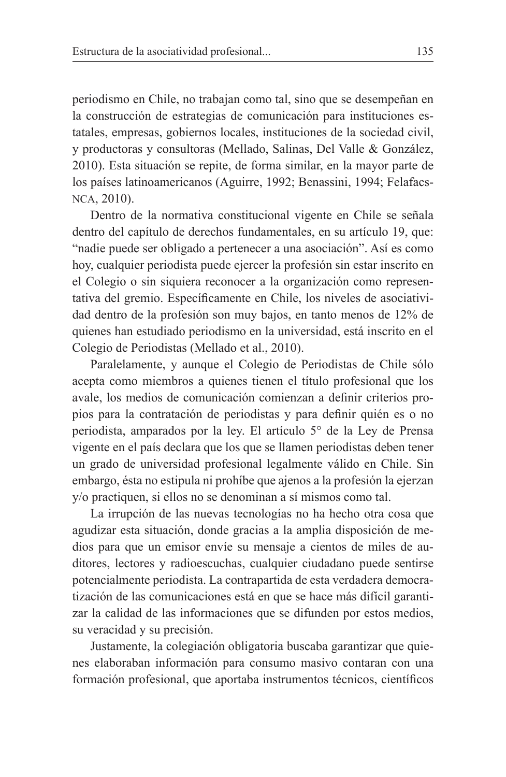periodismo en Chile, no trabajan como tal, sino que se desempeñan en la construcción de estrategias de comunicación para instituciones estatales, empresas, gobiernos locales, instituciones de la sociedad civil, y productoras y consultoras (Mellado, Salinas, Del Valle & González, 2010). Esta situación se repite, de forma similar, en la mayor parte de los países latinoamericanos (Aguirre, 1992; Benassini, 1994; Felafacs-NCA. 2010).

Dentro de la normativa constitucional vigente en Chile se señala dentro del capítulo de derechos fundamentales, en su artículo 19, que: "nadie puede ser obligado a pertenecer a una asociación". Así es como hoy, cualquier periodista puede ejercer la profesión sin estar inscrito en el Colegio o sin siguiera reconocer a la organización como representativa del gremio. Específicamente en Chile, los niveles de asociatividad dentro de la profesión son muy bajos, en tanto menos de 12% de quienes han estudiado periodismo en la universidad, está inscrito en el Colegio de Periodistas (Mellado et al., 2010).

Paralelamente, y aunque el Colegio de Periodistas de Chile sólo acepta como miembros a quienes tienen el título profesional que los avale, los medios de comunicación comienzan a definir criterios propios para la contratación de periodistas y para definir quién es o no periodista, amparados por la ley. El artículo 5<sup>°</sup> de la Ley de Prensa vigente en el país declara que los que se llamen periodistas deben tener un grado de universidad profesional legalmente válido en Chile. Sin embargo, ésta no estipula ni prohíbe que ajenos a la profesión la ejerzan v/o practiquen, si ellos no se denominan a sí mismos como tal.

La irrupción de las nuevas tecnologías no ha hecho otra cosa que agudizar esta situación, donde gracias a la amplia disposición de medios para que un emisor envíe su mensaje a cientos de miles de auditores, lectores y radioescuchas, cualquier ciudadano puede sentirse potencialmente periodista. La contrapartida de esta verdadera democratización de las comunicaciones está en que se hace más difícil garantizar la calidad de las informaciones que se difunden por estos medios, su veracidad y su precisión.

Justamente, la colegiación obligatoria buscaba garantizar que quienes elaboraban información para consumo masivo contaran con una formación profesional, que aportaba instrumentos técnicos, científicos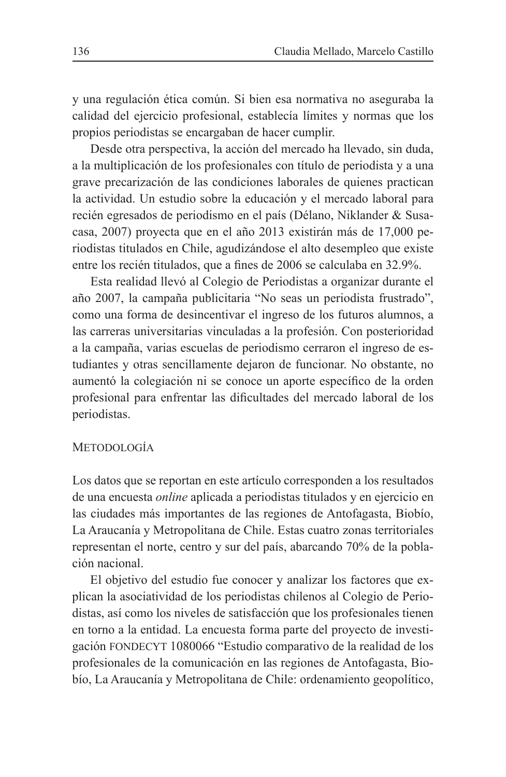y una regulación ética común. Si bien esa normativa no aseguraba la calidad del ejercicio profesional, establecía límites y normas que los propios periodistas se encargaban de hacer cumplir.

Desde otra perspectiva, la acción del mercado ha llevado, sin duda, a la multiplicación de los profesionales con título de periodista y a una grave precarización de las condiciones laborales de quienes practican la actividad. Un estudio sobre la educación y el mercado laboral para recién egresados de periodismo en el país (Délano, Niklander & Susacasa, 2007) proyecta que en el año 2013 existirán más de 17,000 periodistas titulados en Chile, agudizándose el alto desempleo que existe entre los recién titulados, que a fines de 2006 se calculaba en 32.9%.

Esta realidad llevó al Colegio de Periodistas a organizar durante el año 2007, la campaña publicitaria "No seas un periodista frustrado", como una forma de desincentivar el ingreso de los futuros alumnos, a las carreras universitarias vinculadas a la profesión. Con posterioridad a la campaña, varias escuelas de periodismo cerraron el ingreso de estudiantes y otras sencillamente dejaron de funcionar. No obstante, no aumentó la colegiación ni se conoce un aporte específico de la orden profesional para enfrentar las dificultades del mercado laboral de los periodistas.

## **METODOLOGÍA**

Los datos que se reportan en este artículo corresponden a los resultados de una encuesta *online* aplicada a periodistas titulados y en ejercicio en las ciudades más importantes de las regiones de Antofagasta, Biobío, La Araucanía y Metropolitana de Chile. Estas cuatro zonas territoriales representan el norte, centro y sur del país, abarcando 70% de la población nacional.

El objetivo del estudio fue conocer y analizar los factores que explican la asociatividad de los periodistas chilenos al Colegio de Periodistas, así como los niveles de satisfacción que los profesionales tienen en torno a la entidad. La encuesta forma parte del proyecto de investigación FONDECYT 1080066 "Estudio comparativo de la realidad de los profesionales de la comunicación en las regiones de Antofagasta, Biobío, La Araucanía y Metropolitana de Chile: ordenamiento geopolítico,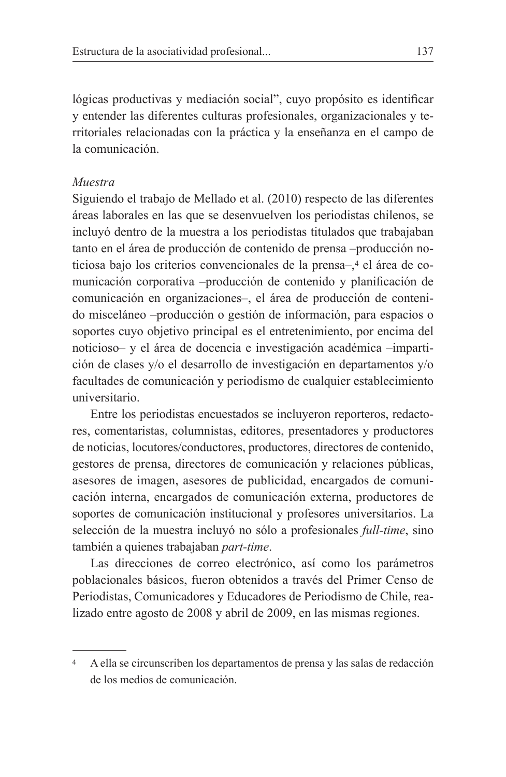lógicas productivas y mediación social", cuyo propósito es identificar y entender las diferentes culturas profesionales, organizacionales y territoriales relacionadas con la práctica y la enseñanza en el campo de la comunicación

#### Muestra

Siguiendo el trabajo de Mellado et al. (2010) respecto de las diferentes áreas laborales en las que se desenvuelven los periodistas chilenos, se incluyó dentro de la muestra a los periodistas titulados que trabajaban tanto en el área de producción de contenido de prensa -producción noticiosa bajo los criterios convencionales de la prensa-,<sup>4</sup> el área de comunicación corporativa -producción de contenido y planificación de comunicación en organizaciones-, el área de producción de contenido misceláneo -producción o gestión de información, para espacios o soportes cuyo objetivo principal es el entretenimiento, por encima del noticioso- y el área de docencia e investigación académica -impartición de clases y/o el desarrollo de investigación en departamentos y/o facultades de comunicación y periodismo de cualquier establecimiento universitario

Entre los periodistas encuestados se incluyeron reporteros, redactores, comentaristas, columnistas, editores, presentadores y productores de noticias, locutores/conductores, productores, directores de contenido, gestores de prensa, directores de comunicación y relaciones públicas, asesores de imagen, asesores de publicidad, encargados de comunicación interna, encargados de comunicación externa, productores de soportes de comunicación institucional y profesores universitarios. La selección de la muestra incluyó no sólo a profesionales *full-time*, sino también a quienes trabajaban part-time.

Las direcciones de correo electrónico, así como los parámetros poblacionales básicos, fueron obtenidos a través del Primer Censo de Periodistas, Comunicadores y Educadores de Periodismo de Chile, realizado entre agosto de 2008 y abril de 2009, en las mismas regiones.

A ella se circunscriben los departamentos de prensa y las salas de redacción de los medios de comunicación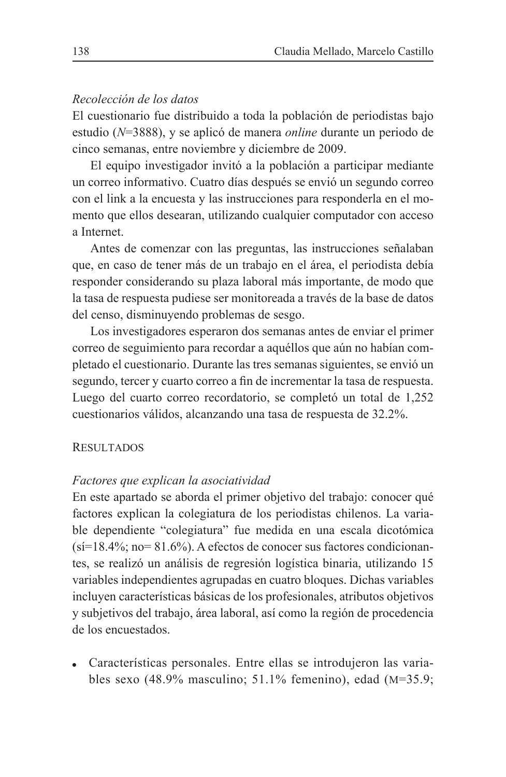#### Recolección de los datos

El cuestionario fue distribuido a toda la población de periodistas bajo estudio (N=3888), y se aplicó de manera *online* durante un periodo de cinco semanas, entre noviembre y diciembre de 2009.

El equipo investigador invitó a la población a participar mediante un correo informativo. Cuatro días después se envió un segundo correo con el link a la encuesta y las instrucciones para responderla en el momento que ellos desearan, utilizando cualquier computador con acceso a Internet.

Antes de comenzar con las preguntas, las instrucciones señalaban que, en caso de tener más de un trabajo en el área, el periodista debía responder considerando su plaza laboral más importante, de modo que la tasa de respuesta pudiese ser monitoreada a través de la base de datos del censo, disminuyendo problemas de sesgo.

Los investigadores esperaron dos semanas antes de enviar el primer correo de seguimiento para recordar a aquéllos que aún no habían completado el cuestionario. Durante las tres semanas siguientes, se envió un segundo, tercer y cuarto correo a fin de incrementar la tasa de respuesta. Luego del cuarto correo recordatorio, se completó un total de 1,252 cuestionarios válidos, alcanzando una tasa de respuesta de 32.2%.

#### **RESULTADOS**

#### Factores que explican la asociatividad

En este apartado se aborda el primer objetivo del trabajo: conocer qué factores explican la colegiatura de los periodistas chilenos. La variable dependiente "colegiatura" fue medida en una escala dicotómica  $(si=18.4\%; no=81.6\%)$ . A efectos de conocer sus factores condicionantes, se realizó un análisis de regresión logística binaria, utilizando 15 variables independientes agrupadas en cuatro bloques. Dichas variables incluyen características básicas de los profesionales, atributos objetivos y subjetivos del trabajo, área laboral, así como la región de procedencia de los encuestados

• Características personales. Entre ellas se introdujeron las variables sexo  $(48.9\%$  masculino; 51.1% femenino), edad  $(M=35.9)$ ;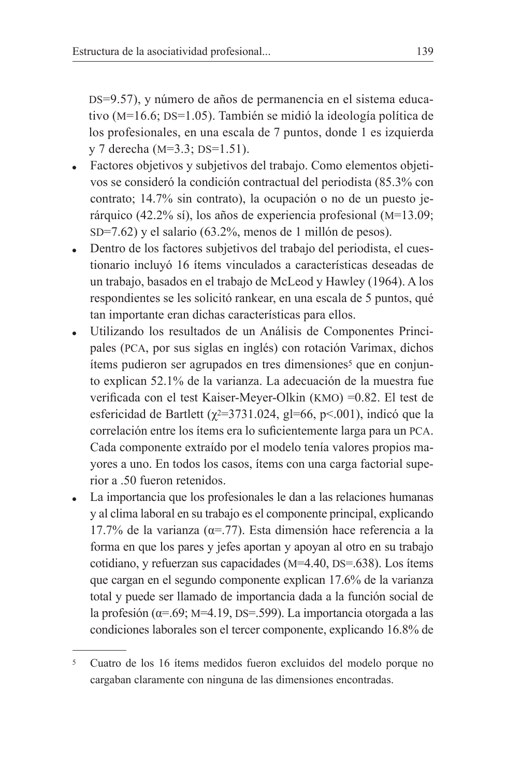DS=9.57), y número de años de permanencia en el sistema educativo (M=16.6; DS=1.05). También se midió la ideología política de los profesionales, en una escala de 7 puntos, donde 1 es izquierda y 7 derecha ( $M=3.3$ ;  $DS=1.51$ ).

- Factores objetivos y subjetivos del trabajo. Como elementos objetivos se consideró la condición contractual del periodista (85.3% con contrato; 14.7% sin contrato), la ocupación o no de un puesto jerárquico (42.2% sí), los años de experiencia profesional ( $M=13.09$ ;  $SD=7.62$ ) y el salario (63.2%, menos de 1 millón de pesos).
- Dentro de los factores subjetivos del trabajo del periodista, el cues- $\bullet$ tionario incluyó 16 ítems vinculados a características deseadas de un trabajo, basados en el trabajo de McLeod y Hawley (1964). A los respondientes se les solicitó rankear, en una escala de 5 puntos, qué tan importante eran dichas características para ellos.
- Utilizando los resultados de un Análisis de Componentes Principales (PCA, por sus siglas en inglés) con rotación Varimax, dichos items pudieron ser agrupados en tres dimensiones<sup>5</sup> que en conjunto explican 52.1% de la varianza. La adecuación de la muestra fue verificada con el test Kaiser-Meyer-Olkin (KMO) = 0.82. El test de esfericidad de Bartlett ( $\chi$ <sup>2=3731.024</sup>, gl=66, p<.001), indicó que la correlación entre los ítems era lo suficientemente larga para un PCA. Cada componente extraído por el modelo tenía valores propios mayores a uno. En todos los casos, ítems con una carga factorial superior a .50 fueron retenidos.
- La importancia que los profesionales le dan a las relaciones humanas y al clima laboral en su trabajo es el componente principal, explicando 17.7% de la varianza ( $\alpha$ =.77). Esta dimensión hace referencia a la forma en que los pares y jefes aportan y apoyan al otro en su trabajo cotidiano, y refuerzan sus capacidades ( $M=4.40$ ,  $DS=.638$ ). Los ítems que cargan en el segundo componente explican 17.6% de la varianza total y puede ser llamado de importancia dada a la función social de la profesión ( $\alpha$ =.69; M=4.19, DS=.599). La importancia otorgada a las condiciones laborales son el tercer componente, explicando 16.8% de

<sup>&</sup>lt;sup>5</sup> Cuatro de los 16 ítems medidos fueron excluidos del modelo porque no cargaban claramente con ninguna de las dimensiones encontradas.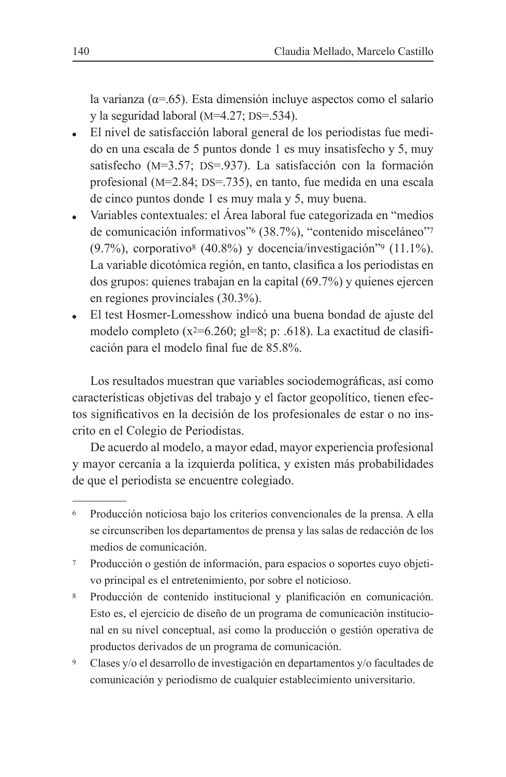la varianza ( $\alpha$ =.65). Esta dimensión incluye aspectos como el salario v la seguridad laboral  $(M=4.27; DS=.534)$ .

- El nivel de satisfacción laboral general de los periodistas fue medido en una escala de 5 puntos donde 1 es muy insatisfecho y 5, muy satisfecho (M=3.57; DS=.937). La satisfacción con la formación profesional (M=2.84; DS=.735), en tanto, fue medida en una escala de cinco puntos donde 1 es muy mala y 5, muy buena.
- Variables contextuales: el Área laboral fue categorizada en "medios"  $\bullet$ de comunicación informativos" (38.7%), "contenido misceláneo"<sup>7</sup>  $(9.7\%)$ , corporativo<sup>8</sup> (40.8%) y docencia/investigación"<sup>9</sup> (11.1%). La variable dicotómica región, en tanto, clasifica a los periodistas en dos grupos: quienes trabajan en la capital  $(69.7%)$  y quienes ejercen en regiones provinciales  $(30.3\%)$ .
- El test Hosmer-Lomesshow indicó una buena bondad de ajuste del modelo completo ( $x^2=6.260$ ; gl=8; p: .618). La exactitud de clasificación para el modelo final fue de 85.8%.

Los resultados muestran que variables sociodemográficas, así como características objetivas del trabajo y el factor geopolítico, tienen efectos significativos en la decisión de los profesionales de estar o no inscrito en el Colegio de Periodistas.

De acuerdo al modelo, a mayor edad, mayor experiencia profesional y mayor cercanía a la izquierda política, y existen más probabilidades de que el periodista se encuentre colegiado.

- Producción o gestión de información, para espacios o soportes cuyo objeti- $7\overline{ }$ vo principal es el entretenimiento, por sobre el noticioso.
- 8 Producción de contenido institucional y planificación en comunicación. Esto es, el ejercicio de diseño de un programa de comunicación institucional en su nivel conceptual, así como la producción o gestión operativa de productos derivados de un programa de comunicación.
- $\boldsymbol{9}$ Clases y/o el desarrollo de investigación en departamentos y/o facultades de comunicación y periodismo de cualquier establecimiento universitario.

<sup>6</sup> Producción noticiosa bajo los criterios convencionales de la prensa. A ella se circunscriben los departamentos de prensa y las salas de redacción de los medios de comunicación.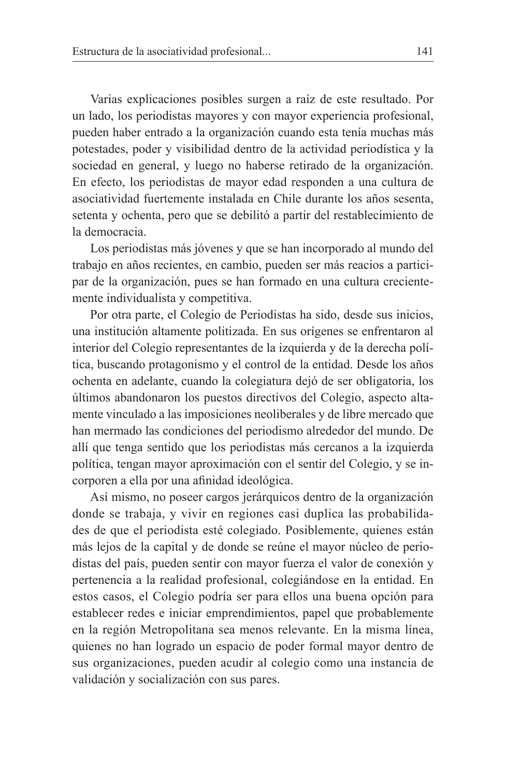Varias explicaciones posibles surgen a raíz de este resultado. Por un lado, los periodistas mayores y con mayor experiencia profesional, pueden haber entrado a la organización cuando esta tenía muchas más potestades, poder y visibilidad dentro de la actividad periodística y la sociedad en general, y luego no haberse retirado de la organización. En efecto, los periodistas de mayor edad responden a una cultura de asociatividad fuertemente instalada en Chile durante los años sesenta. setenta y ochenta, pero que se debilitó a partir del restablecimiento de la democracia

Los periodistas más jóvenes y que se han incorporado al mundo del trabajo en años recientes, en cambio, pueden ser más reacios a participar de la organización, pues se han formado en una cultura crecientemente individualista y competitiva.

Por otra parte, el Colegio de Periodistas ha sido, desde sus inicios, una institución altamente politizada. En sus orígenes se enfrentaron al interior del Colegio representantes de la izquierda y de la derecha política, buscando protagonismo y el control de la entidad. Desde los años ochenta en adelante, cuando la colegiatura dejó de ser obligatoria, los últimos abandonaron los puestos directivos del Colegio, aspecto altamente vinculado a las imposiciones neoliberales y de libre mercado que han mermado las condiciones del periodismo alrededor del mundo. De allí que tenga sentido que los periodistas más cercanos a la izquierda política, tengan mayor aproximación con el sentir del Colegio, y se incorporen a ella por una afinidad ideológica.

Así mismo, no poseer cargos jerárquicos dentro de la organización donde se trabaja, y vivir en regiones casi duplica las probabilidades de que el periodista esté colegiado. Posiblemente, quienes están más lejos de la capital y de donde se reúne el mayor núcleo de periodistas del país, pueden sentir con mayor fuerza el valor de conexión y pertenencia a la realidad profesional, colegiándose en la entidad. En estos casos, el Colegio podría ser para ellos una buena opción para establecer redes e iniciar emprendimientos, papel que probablemente en la región Metropolitana sea menos relevante. En la misma línea, quienes no han logrado un espacio de poder formal mayor dentro de sus organizaciones, pueden acudir al colegio como una instancia de validación y socialización con sus pares.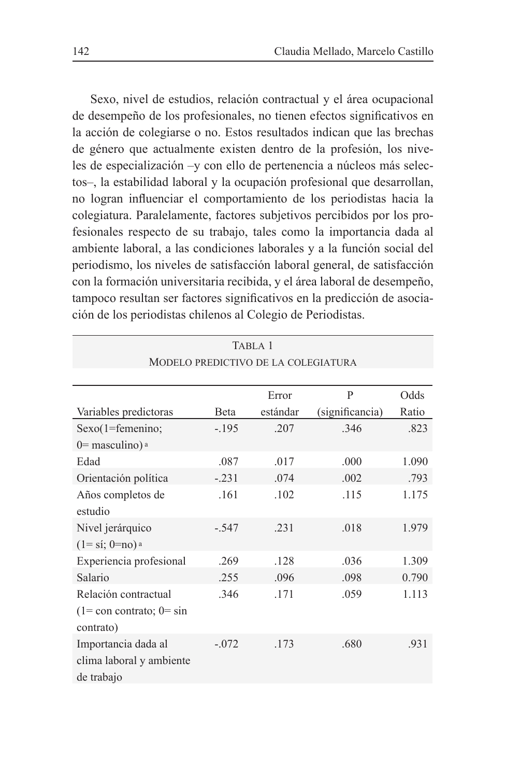Sexo, nivel de estudios, relación contractual y el área ocupacional de desempeño de los profesionales, no tienen efectos significativos en la acción de colegiarse o no. Estos resultados indican que las brechas de género que actualmente existen dentro de la profesión, los niveles de especialización - y con ello de pertenencia a núcleos más selectos-, la estabilidad laboral y la ocupación profesional que desarrollan, no logran influenciar el comportamiento de los periodistas hacia la colegiatura. Paralelamente, factores subjetivos percibidos por los profesionales respecto de su trabajo, tales como la importancia dada al ambiente laboral, a las condiciones laborales y a la función social del periodismo, los niveles de satisfacción laboral general, de satisfacción con la formación universitaria recibida, y el área laboral de desempeño, tampoco resultan ser factores significativos en la predicción de asociación de los periodistas chilenos al Colegio de Periodistas.

|                                                                                      |         | TABLA 1                             |                 |       |
|--------------------------------------------------------------------------------------|---------|-------------------------------------|-----------------|-------|
|                                                                                      |         | MODELO PREDICTIVO DE LA COLEGIATURA |                 |       |
|                                                                                      |         |                                     |                 |       |
|                                                                                      |         | Error                               | P               | Odds  |
| Variables predictoras                                                                | Beta    | estándar                            | (significancia) | Ratio |
| $Sexo(1 = femenino)$                                                                 | $-.195$ | .207                                | .346            | .823  |
| $0=$ masculino) a                                                                    |         |                                     |                 |       |
| Edad                                                                                 | .087    | .017                                | .000            | 1.090 |
| Orientación política                                                                 | $-.231$ | .074                                | .002            | .793  |
| Años completos de<br>estudio                                                         | .161    | .102                                | .115            | 1.175 |
| Nivel jerárquico<br>$(1 = \text{s}i; 0 = \text{no})$ a                               | $-.547$ | .231                                | .018            | 1.979 |
| Experiencia profesional                                                              | .269    | .128                                | .036            | 1.309 |
| Salario                                                                              | .255    | .096                                | .098            | 0.790 |
| Relación contractual<br>$(1 = \text{con} \text{contrast})$ ; $0 = \sin$<br>contrato) | 346     | .171                                | .059            | 1.113 |
| Importancia dada al<br>clima laboral y ambiente<br>de trabajo                        | $-.072$ | .173                                | .680            | .931  |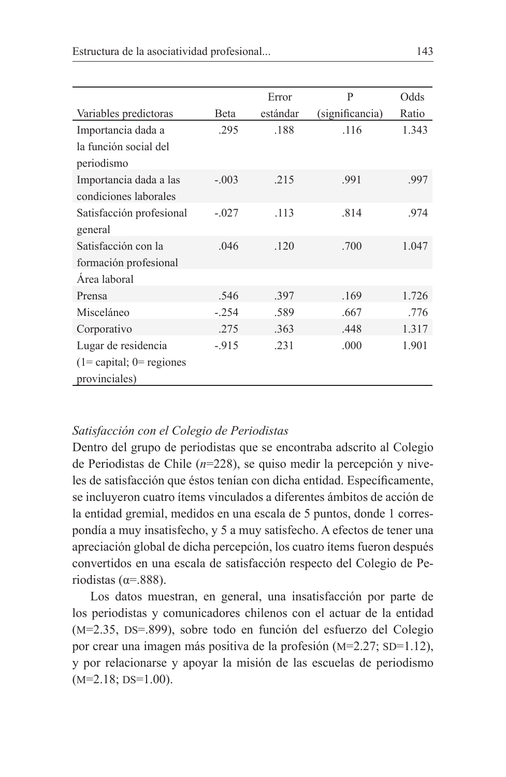|                                |         | Error    | P               | Odds  |
|--------------------------------|---------|----------|-----------------|-------|
| Variables predictoras          | Beta    | estándar | (significancia) | Ratio |
| Importancia dada a             | .295    | .188     | .116            | 1.343 |
| la función social del          |         |          |                 |       |
| periodismo                     |         |          |                 |       |
| Importancia dada a las         | $-.003$ | .215     | .991            | .997  |
| condiciones laborales          |         |          |                 |       |
| Satisfacción profesional       | $-.027$ | .113     | .814            | .974  |
| general                        |         |          |                 |       |
| Satisfacción con la            | .046    | .120     | .700            | 1.047 |
| formación profesional          |         |          |                 |       |
| Área laboral                   |         |          |                 |       |
| Prensa                         | .546    | .397     | .169            | 1.726 |
| Misceláneo                     | $-.254$ | .589     | .667            | .776  |
| Corporativo                    | .275    | .363     | .448            | 1.317 |
| Lugar de residencia            | $-915$  | .231     | .000            | 1.901 |
| $(1 =$ capital; $0 =$ regiones |         |          |                 |       |
| provinciales)                  |         |          |                 |       |

#### Satisfacción con el Colegio de Periodistas

Dentro del grupo de periodistas que se encontraba adscrito al Colegio de Periodistas de Chile ( $n=228$ ), se quiso medir la percepción y niveles de satisfacción que éstos tenían con dicha entidad. Específicamente, se incluyeron cuatro ítems vinculados a diferentes ámbitos de acción de la entidad gremial, medidos en una escala de 5 puntos, donde 1 correspondía a muy insatisfecho, y 5 a muy satisfecho. A efectos de tener una apreciación global de dicha percepción, los cuatro ítems fueron después convertidos en una escala de satisfacción respecto del Colegio de Periodistas ( $\alpha$ =.888).

Los datos muestran, en general, una insatisfacción por parte de los periodistas y comunicadores chilenos con el actuar de la entidad (M=2.35, DS=.899), sobre todo en función del esfuerzo del Colegio por crear una imagen más positiva de la profesión (M=2.27; SD=1.12), y por relacionarse y apoyar la misión de las escuelas de periodismo  $(M=2.18; DS=1.00).$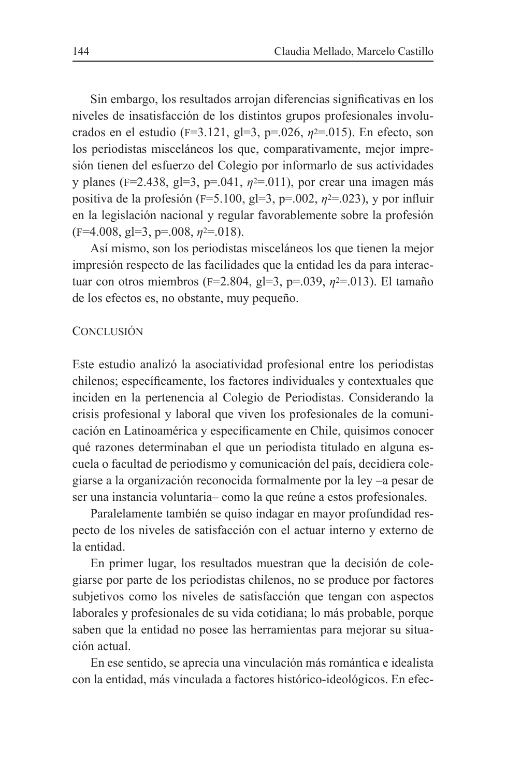Sin embargo, los resultados arrojan diferencias significativas en los niveles de insatisfacción de los distintos grupos profesionales involucrados en el estudio (F=3.121, gl=3, p=.026,  $n^{2}$ =.015). En efecto, son los periodistas misceláneos los que, comparativamente, mejor impresión tienen del esfuerzo del Colegio por informarlo de sus actividades y planes (F=2.438, gl=3, p=.041,  $n^{2}$ =.011), por crear una imagen más positiva de la profesión (F=5.100, gl=3, p=.002,  $n^2$ =.023), y por influir en la legislación nacional y regular favorablemente sobre la profesión  $(F=4.008, g=3, p=.008, \eta^2=.018)$ .

Así mismo, son los periodistas misceláneos los que tienen la mejor impresión respecto de las facilidades que la entidad les da para interactuar con otros miembros ( $F=2.804$ ,  $g=3$ ,  $p=.039$ ,  $n^2=.013$ ). El tamaño de los efectos es, no obstante, muy pequeño.

#### **CONCLUSIÓN**

Este estudio analizó la asociatividad profesional entre los periodistas chilenos; específicamente, los factores individuales y contextuales que inciden en la pertenencia al Colegio de Periodistas. Considerando la crisis profesional y laboral que viven los profesionales de la comunicación en Latinoamérica y específicamente en Chile, quisimos conocer qué razones determinaban el que un periodista titulado en alguna escuela o facultad de periodismo y comunicación del país, decidiera colegiarse a la organización reconocida formalmente por la ley –a pesar de ser una instancia voluntaria-como la que reúne a estos profesionales.

Paralelamente también se quiso indagar en mayor profundidad respecto de los niveles de satisfacción con el actuar interno y externo de la entidad

En primer lugar, los resultados muestran que la decisión de colegiarse por parte de los periodistas chilenos, no se produce por factores subjetivos como los niveles de satisfacción que tengan con aspectos laborales y profesionales de su vida cotidiana; lo más probable, porque saben que la entidad no posee las herramientas para mejorar su situación actual

En ese sentido, se aprecia una vinculación más romántica e idealista con la entidad, más vinculada a factores histórico-ideológicos. En efec-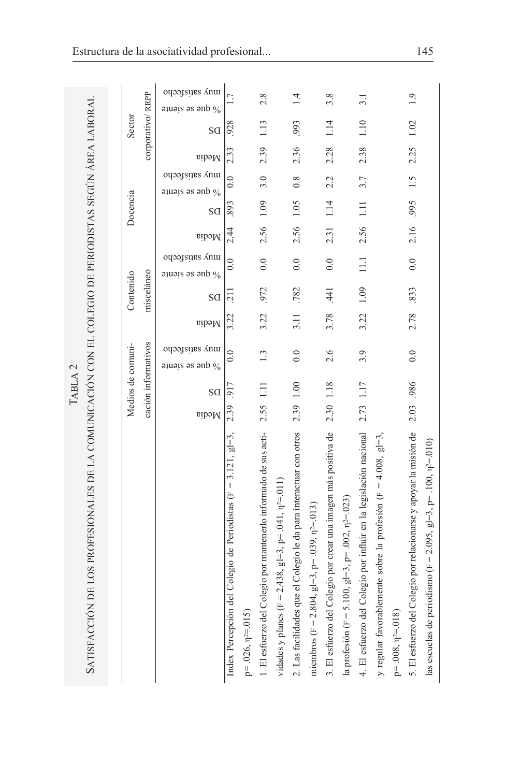|                                                                                                       |           | TABLA <sub>2</sub> |                                              |       |                 |                                               |       |               |                                                                      |       |                  |                                                    |
|-------------------------------------------------------------------------------------------------------|-----------|--------------------|----------------------------------------------|-------|-----------------|-----------------------------------------------|-------|---------------|----------------------------------------------------------------------|-------|------------------|----------------------------------------------------|
| Satisfacción de los profesionales de la comunicación con el colegio de periodístas según área laboral |           |                    |                                              |       |                 |                                               |       |               |                                                                      |       |                  |                                                    |
|                                                                                                       |           |                    |                                              |       |                 |                                               |       |               |                                                                      |       |                  |                                                    |
|                                                                                                       |           |                    | Medios de comuni-                            |       | Contenido       |                                               |       | Docencia      |                                                                      |       | Sector           |                                                    |
|                                                                                                       |           |                    | cación informativos                          |       | misceláneo      |                                               |       |               |                                                                      |       | corporativo/RRPP |                                                    |
|                                                                                                       | Media     | SG                 | oqoaysiyes Anu<br>$\alpha$ applying $\alpha$ | Media | SG              | oqoaysiyes Anui<br>$\alpha$ applying $\alpha$ | Media | SG            | oqoaysiyes Anui<br>$\frac{1}{2}$ and $\frac{1}{2}$ and $\frac{1}{2}$ | Media | SG               | oqoaysiyes Anui<br>$\frac{1}{2}$ and $\frac{1}{2}$ |
| Index Percepción del Colegio de Periodistas ( $F = 3.121$ , gl=3,                                     | 2.39      | 917                | $\ddot{\circ}$                               | 3.22  | 211             | $\ddot{0}$ .                                  | 2.44  | 893           | $\ddot{\circ}$                                                       | 2.33  | 928              |                                                    |
| $p=.026, \eta^2=015$                                                                                  |           |                    |                                              |       |                 |                                               |       |               |                                                                      |       |                  |                                                    |
| 1. El esfuerzo del Colegio por mantenerlo informado de sus acti-                                      | 2.55 1.11 |                    | 1.3                                          | 3.22  | .972            | 0.0                                           |       | 2.56 1.09     | 3.0                                                                  | 2.39  | 1.13             | 2.8                                                |
| vidades y planes (F = 2.438, gl=3, p= .041, $n^2$ =.011)                                              |           |                    |                                              |       |                 |                                               |       |               |                                                                      |       |                  |                                                    |
| 2. Las facilidades que el Colegio le da para interactuar con otros                                    | 2.39 1.00 |                    | 0.0                                          | 3.11  | .782            | 0.0                                           | 2.56  | 1.05          | 0.8                                                                  | 2.36  | 993              | 1.4                                                |
| miembros (F = 2.804, gl=3, p= .039, $\eta$ <sup>2</sup> =.013)                                        |           |                    |                                              |       |                 |                                               |       |               |                                                                      |       |                  |                                                    |
| 3. El esfuerzo del Colegio por crear una imagen más positiva de                                       | 2.30 1.18 |                    | 2.6                                          | 3.78  | $\overline{41}$ | 0.0                                           | 2.31  | 1.14          | 2.2                                                                  | 2.28  | 1.14             | 3.8                                                |
| la profesión (F = 5.100, gl=3, p= .002, $\eta$ <sup>2</sup> =.023)                                    |           |                    |                                              |       |                 |                                               |       |               |                                                                      |       |                  |                                                    |
| 4. El esfuerzo del Colegio por influir en la legislación nacional                                     | 2.73      | 1.17               | 3.9                                          | 3.22  | 1.09            | $\Xi$                                         | 2.56  | $\Box$        | 3.7                                                                  | 2.38  | 1.10             | $\overline{3.1}$                                   |
| y regular favorablemente sobre la profesión (F = 4.008, gl=3,                                         |           |                    |                                              |       |                 |                                               |       |               |                                                                      |       |                  |                                                    |
| $p=.008$ , $n=0.018$ )                                                                                |           |                    |                                              |       |                 |                                               |       |               |                                                                      |       |                  |                                                    |
| 5. El esfuerzo del Colegio por relacionarse y apoyar la misión de                                     | 2.03 .986 |                    | 0.0                                          | 2.78  | .833            | 0.0                                           |       | 2.16 .995 1.5 |                                                                      | 2.25  | 1.02             | $\frac{1}{2}$                                      |
| las escuelas de periodismo (F = 2.095, gl=3, p= .100, $n^{2}$ =.010)                                  |           |                    |                                              |       |                 |                                               |       |               |                                                                      |       |                  |                                                    |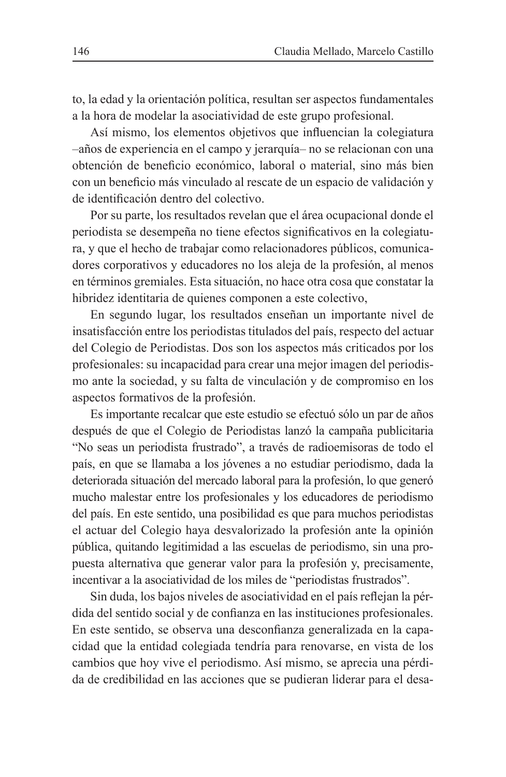to, la edad y la orientación política, resultan ser aspectos fundamentales a la hora de modelar la asociatividad de este grupo profesional.

Así mismo, los elementos objetivos que influencian la colegiatura -años de experiencia en el campo y jerarquía-no se relacionan con una obtención de beneficio económico, laboral o material, sino más bien con un beneficio más vinculado al rescate de un espacio de validación y de identificación dentro del colectivo.

Por su parte, los resultados revelan que el área ocupacional donde el periodista se desempeña no tiene efectos significativos en la colegiatura, y que el hecho de trabajar como relacionadores públicos, comunicadores corporativos y educadores no los aleja de la profesión, al menos en términos gremiales. Esta situación, no hace otra cosa que constatar la hibridez identitaria de quienes componen a este colectivo,

En segundo lugar, los resultados enseñan un importante nivel de insatisfacción entre los periodistas titulados del país, respecto del actuar del Colegio de Periodistas. Dos son los aspectos más criticados por los profesionales: su incapacidad para crear una mejor imagen del periodismo ante la sociedad, y su falta de vinculación y de compromiso en los aspectos formativos de la profesión.

Es importante recalcar que este estudio se efectuó sólo un par de años después de que el Colegio de Periodistas lanzó la campaña publicitaria "No seas un periodista frustrado", a través de radioemisoras de todo el país, en que se llamaba a los jóvenes a no estudiar periodismo, dada la deteriorada situación del mercado laboral para la profesión, lo que generó mucho malestar entre los profesionales y los educadores de periodismo del país. En este sentido, una posibilidad es que para muchos periodistas el actuar del Colegio haya desvalorizado la profesión ante la opinión pública, quitando legitimidad a las escuelas de periodismo, sin una propuesta alternativa que generar valor para la profesión y, precisamente, incentivar a la asociatividad de los miles de "periodistas frustrados".

Sin duda, los bajos niveles de asociatividad en el país reflejan la pérdida del sentido social y de confianza en las instituciones profesionales. En este sentido, se observa una desconfianza generalizada en la capacidad que la entidad colegiada tendría para renovarse, en vista de los cambios que hoy vive el periodismo. Así mismo, se aprecia una pérdida de credibilidad en las acciones que se pudieran liderar para el desa-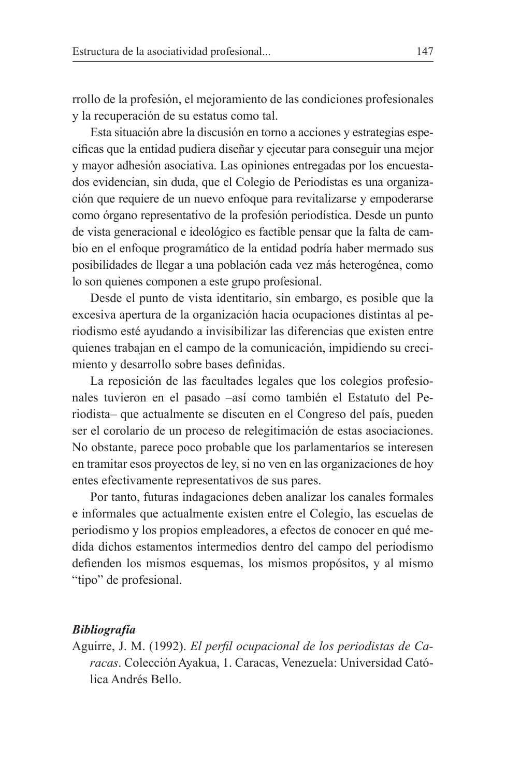rrollo de la profesión, el mejoramiento de las condiciones profesionales y la recuperación de su estatus como tal.

Esta situación abre la discusión en torno a acciones y estrategias específicas que la entidad pudiera diseñar y ejecutar para conseguir una mejor y mayor adhesión asociativa. Las opiniones entregadas por los encuestados evidencian, sin duda, que el Colegio de Periodistas es una organización que requiere de un nuevo enfoque para revitalizarse y empoderarse como órgano representativo de la profesión periodística. Desde un punto de vista generacional e ideológico es factible pensar que la falta de cambio en el enfoque programático de la entidad podría haber mermado sus posibilidades de llegar a una población cada vez más heterogénea, como lo son quienes componen a este grupo profesional.

Desde el punto de vista identitario, sin embargo, es posible que la excesiva apertura de la organización hacia ocupaciones distintas al periodismo esté ayudando a invisibilizar las diferencias que existen entre quienes trabajan en el campo de la comunicación, impidiendo su crecimiento y desarrollo sobre bases definidas.

La reposición de las facultades legales que los colegios profesionales tuvieron en el pasado -así como también el Estatuto del Periodista-que actualmente se discuten en el Congreso del país, pueden ser el corolario de un proceso de relegitimación de estas asociaciones. No obstante, parece poco probable que los parlamentarios se interesen en tramitar esos proyectos de ley, si no ven en las organizaciones de hoy entes efectivamente representativos de sus pares.

Por tanto, futuras indagaciones deben analizar los canales formales e informales que actualmente existen entre el Colegio, las escuelas de periodismo y los propios empleadores, a efectos de conocer en qué medida dichos estamentos intermedios dentro del campo del periodismo defienden los mismos esquemas, los mismos propósitos, y al mismo "tipo" de profesional.

#### **Bibliografía**

Aguirre, J. M. (1992). El perfil ocupacional de los periodistas de Caracas. Colección Ayakua, 1. Caracas, Venezuela: Universidad Católica Andrés Bello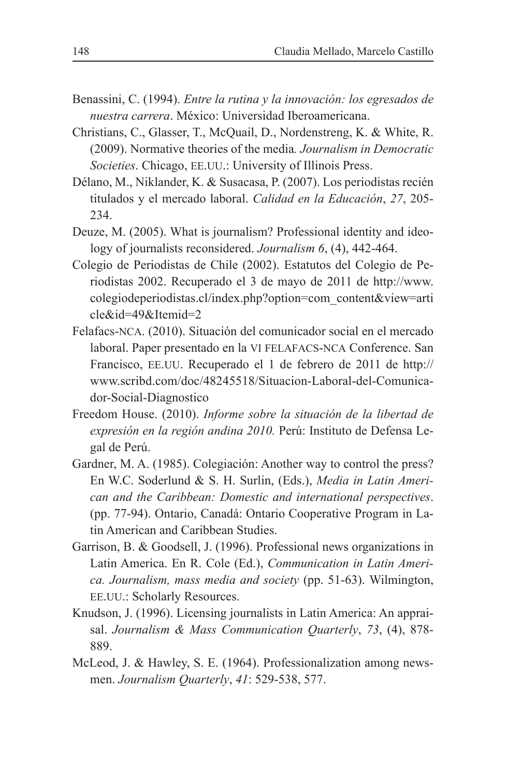- Benassini, C. (1994). Entre la rutina y la innovación: los egresados de nuestra carrera. México: Universidad Iberoamericana.
- Christians, C., Glasser, T., McQuail, D., Nordenstreng, K. & White, R. (2009). Normative theories of the media. Journalism in Democratic Societies. Chicago, EE.UU.: University of Illinois Press.
- Délano, M., Niklander, K. & Susacasa, P. (2007). Los periodistas recién titulados y el mercado laboral. Calidad en la Educación, 27, 205-234
- Deuze, M. (2005). What is journalism? Professional identity and ideology of journalists reconsidered. Journalism 6, (4), 442-464.
- Colegio de Periodistas de Chile (2002). Estatutos del Colegio de Periodistas 2002. Recuperado el 3 de mayo de 2011 de http://www. colegiodeperiodistas.cl/index.php?option=com content&view=arti cle&id=49&Itemid=2
- Felafacs-NCA. (2010). Situación del comunicador social en el mercado laboral. Paper presentado en la VI FELAFACS-NCA Conference. San Francisco, EE.UU. Recuperado el 1 de febrero de 2011 de http:// www.scribd.com/doc/48245518/Situacion-Laboral-del-Comunicador-Social-Diagnostico
- Freedom House. (2010). Informe sobre la situación de la libertad de expresión en la región andina 2010. Perú: Instituto de Defensa Legal de Perú.
- Gardner, M. A. (1985). Colegiación: Another way to control the press? En W.C. Soderlund & S. H. Surlin, (Eds.), Media in Latin American and the Caribbean: Domestic and international perspectives. (pp. 77-94). Ontario, Canadá: Ontario Cooperative Program in Latin American and Caribbean Studies.
- Garrison, B. & Goodsell, J. (1996). Professional news organizations in Latin America. En R. Cole (Ed.), Communication in Latin America. Journalism, mass media and society (pp. 51-63). Wilmington, EE.UU.: Scholarly Resources.
- Knudson, J. (1996). Licensing journalists in Latin America: An appraisal. Journalism & Mass Communication Quarterly, 73, (4), 878-889.
- McLeod, J. & Hawley, S. E. (1964). Professionalization among newsmen. Journalism Quarterly, 41: 529-538, 577.